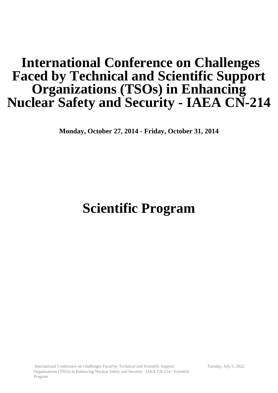## **International Conference on Challenges Faced by Technical and Scientific Support Organizations (TSOs) in Enhancing Nuclear Safety and Security - IAEA CN-214**

**Monday, October 27, 2014 - Friday, October 31, 2014**

# **Scientific Program**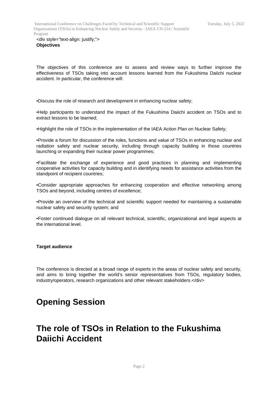<div style="text-align: justify;"> **Objectives**

The objectives of this conference are to assess and review ways to further improve the effectiveness of TSOs taking into account lessons learned from the Fukushima Daiichi nuclear accident. In particular, the conference will:

•Discuss the role of research and development in enhancing nuclear safety;

•Help participants to understand the impact of the Fukushima Daiichi accident on TSOs and to extract lessons to be learned;

•Highlight the role of TSOs in the implementation of the IAEA Action Plan on Nuclear Safety;

•Provide a forum for discussion of the roles, functions and value of TSOs in enhancing nuclear and radiation safety and nuclear security, including through capacity building in those countries launching or expanding their nuclear power programmes;

•Facilitate the exchange of experience and good practices in planning and implementing cooperative activities for capacity building and in identifying needs for assistance activities from the standpoint of recipient countries;

•Consider appropriate approaches for enhancing cooperation and effective networking among TSOs and beyond, including centres of excellence;

•Provide an overview of the technical and scientific support needed for maintaining a sustainable nuclear safety and security system; and

•Foster continued dialogue on all relevant technical, scientific, organizational and legal aspects at the international level.

#### **Target audience**

The conference is directed at a broad range of experts in the areas of nuclear safety and security, and aims to bring together the world's senior representatives from TSOs, regulatory bodies, industry/operators, research organizations and other relevant stakeholders.</div>

#### **Opening Session**

#### **The role of TSOs in Relation to the Fukushima Daiichi Accident**